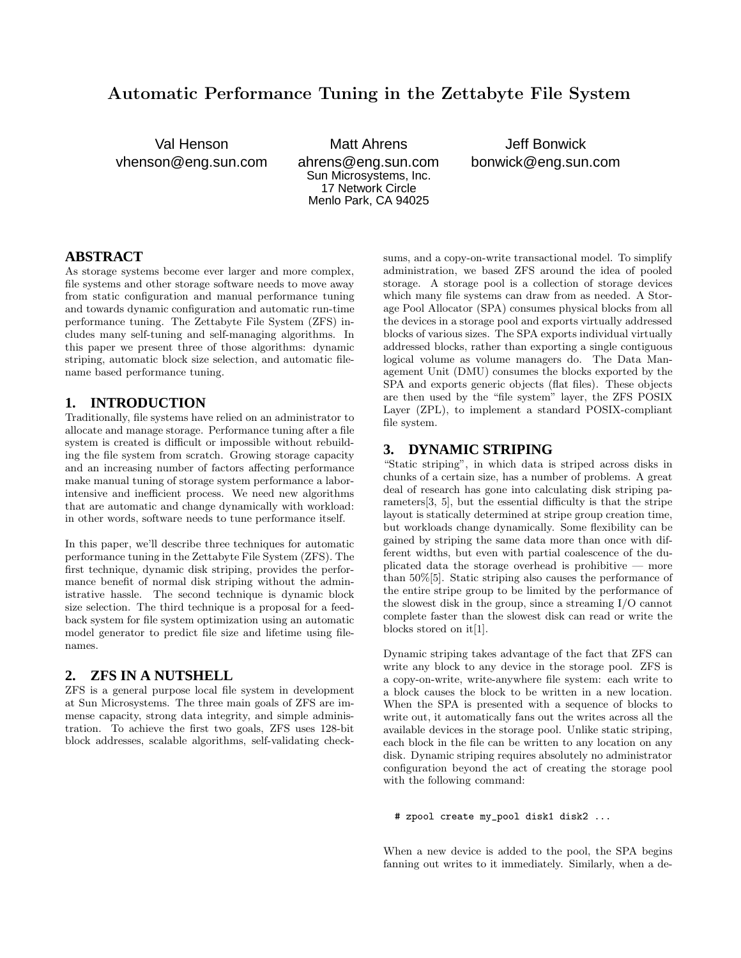# **Automatic Performance Tuning in the Zettabyte File System**

Val Henson vhenson@eng.sun.com

Matt Ahrens ahrens@eng.sun.com Sun Microsystems, Inc. 17 Network Circle Menlo Park, CA 94025

Jeff Bonwick bonwick@eng.sun.com

### **ABSTRACT**

As storage systems become ever larger and more complex, file systems and other storage software needs to move away from static configuration and manual performance tuning and towards dynamic configuration and automatic run-time performance tuning. The Zettabyte File System (ZFS) includes many self-tuning and self-managing algorithms. In this paper we present three of those algorithms: dynamic striping, automatic block size selection, and automatic filename based performance tuning.

#### **1. INTRODUCTION**

Traditionally, file systems have relied on an administrator to allocate and manage storage. Performance tuning after a file system is created is difficult or impossible without rebuilding the file system from scratch. Growing storage capacity and an increasing number of factors affecting performance make manual tuning of storage system performance a laborintensive and inefficient process. We need new algorithms that are automatic and change dynamically with workload: in other words, software needs to tune performance itself.

In this paper, we'll describe three techniques for automatic performance tuning in the Zettabyte File System (ZFS). The first technique, dynamic disk striping, provides the performance benefit of normal disk striping without the administrative hassle. The second technique is dynamic block size selection. The third technique is a proposal for a feedback system for file system optimization using an automatic model generator to predict file size and lifetime using filenames.

### **2. ZFS IN A NUTSHELL**

ZFS is a general purpose local file system in development at Sun Microsystems. The three main goals of ZFS are immense capacity, strong data integrity, and simple administration. To achieve the first two goals, ZFS uses 128-bit block addresses, scalable algorithms, self-validating checksums, and a copy-on-write transactional model. To simplify administration, we based ZFS around the idea of pooled storage. A storage pool is a collection of storage devices which many file systems can draw from as needed. A Storage Pool Allocator (SPA) consumes physical blocks from all the devices in a storage pool and exports virtually addressed blocks of various sizes. The SPA exports individual virtually addressed blocks, rather than exporting a single contiguous logical volume as volume managers do. The Data Management Unit (DMU) consumes the blocks exported by the SPA and exports generic objects (flat files). These objects are then used by the "file system" layer, the ZFS POSIX Layer (ZPL), to implement a standard POSIX-compliant file system.

#### **3. DYNAMIC STRIPING**

"Static striping", in which data is striped across disks in chunks of a certain size, has a number of problems. A great deal of research has gone into calculating disk striping parameters[3, 5], but the essential difficulty is that the stripe layout is statically determined at stripe group creation time, but workloads change dynamically. Some flexibility can be gained by striping the same data more than once with different widths, but even with partial coalescence of the duplicated data the storage overhead is prohibitive — more than 50%[5]. Static striping also causes the performance of the entire stripe group to be limited by the performance of the slowest disk in the group, since a streaming I/O cannot complete faster than the slowest disk can read or write the blocks stored on it[1].

Dynamic striping takes advantage of the fact that ZFS can write any block to any device in the storage pool. ZFS is a copy-on-write, write-anywhere file system: each write to a block causes the block to be written in a new location. When the SPA is presented with a sequence of blocks to write out, it automatically fans out the writes across all the available devices in the storage pool. Unlike static striping, each block in the file can be written to any location on any disk. Dynamic striping requires absolutely no administrator configuration beyond the act of creating the storage pool with the following command:

#### # zpool create my\_pool disk1 disk2 ...

When a new device is added to the pool, the SPA begins fanning out writes to it immediately. Similarly, when a de